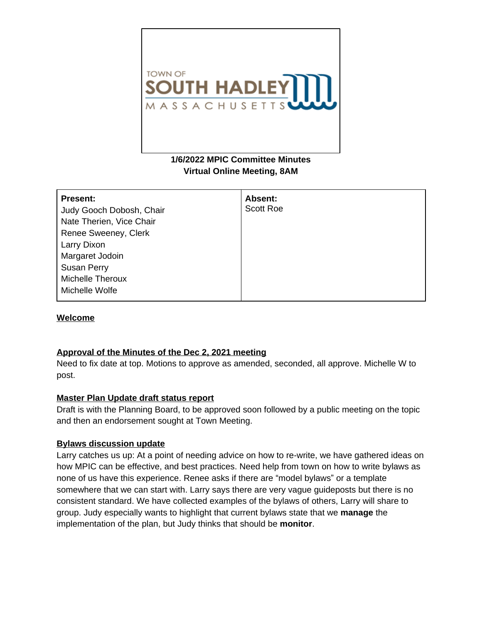

# **1/6/2022 MPIC Committee Minutes Virtual Online Meeting, 8AM**

| <b>Present:</b><br>Judy Gooch Dobosh, Chair<br>Nate Therien, Vice Chair<br>Renee Sweeney, Clerk<br>Larry Dixon<br>Margaret Jodoin<br><b>Susan Perry</b> | Absent:<br><b>Scott Roe</b> |
|---------------------------------------------------------------------------------------------------------------------------------------------------------|-----------------------------|
| <b>Michelle Theroux</b><br>Michelle Wolfe                                                                                                               |                             |

## **Welcome**

## **Approval of the Minutes of the Dec 2, 2021 meeting**

Need to fix date at top. Motions to approve as amended, seconded, all approve. Michelle W to post.

## **Master Plan Update draft status report**

Draft is with the Planning Board, to be approved soon followed by a public meeting on the topic and then an endorsement sought at Town Meeting.

## **Bylaws discussion update**

Larry catches us up: At a point of needing advice on how to re-write, we have gathered ideas on how MPIC can be effective, and best practices. Need help from town on how to write bylaws as none of us have this experience. Renee asks if there are "model bylaws" or a template somewhere that we can start with. Larry says there are very vague guideposts but there is no consistent standard. We have collected examples of the bylaws of others, Larry will share to group. Judy especially wants to highlight that current bylaws state that we **manage** the implementation of the plan, but Judy thinks that should be **monitor**.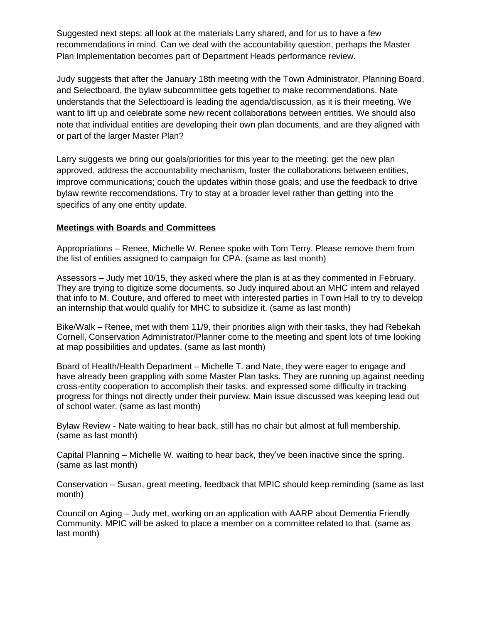Suggested next steps: all look at the materials Larry shared, and for us to have a few recommendations in mind. Can we deal with the accountability question, perhaps the Master Plan Implementation becomes part of Department Heads performance review.

Judy suggests that after the January 18th meeting with the Town Administrator, Planning Board, and Selectboard, the bylaw subcommittee gets together to make recommendations. Nate understands that the Selectboard is leading the agenda/discussion, as it is their meeting. We want to lift up and celebrate some new recent collaborations between entities. We should also note that individual entities are developing their own plan documents, and are they aligned with or part of the larger Master Plan?

Larry suggests we bring our goals/priorities for this year to the meeting: get the new plan approved, address the accountability mechanism, foster the collaborations between entities, improve communications; couch the updates within those goals; and use the feedback to drive bylaw rewrite reccomendations. Try to stay at a broader level rather than getting into the specifics of any one entity update.

## **Meetings with Boards and Committees**

Appropriations – Renee, Michelle W. Renee spoke with Tom Terry. Please remove them from the list of entities assigned to campaign for CPA. (same as last month)

Assessors – Judy met 10/15, they asked where the plan is at as they commented in February. They are trying to digitize some documents, so Judy inquired about an MHC intern and relayed that info to M. Couture, and offered to meet with interested parties in Town Hall to try to develop an internship that would qualify for MHC to subsidize it. (same as last month)

Bike/Walk – Renee, met with them 11/9, their priorities align with their tasks, they had Rebekah Cornell, Conservation Administrator/Planner come to the meeting and spent lots of time looking at map possibilities and updates. (same as last month)

Board of Health/Health Department – Michelle T. and Nate, they were eager to engage and have already been grappling with some Master Plan tasks. They are running up against needing cross-entity cooperation to accomplish their tasks, and expressed some difficulty in tracking progress for things not directly under their purview. Main issue discussed was keeping lead out of school water. (same as last month)

Bylaw Review - Nate waiting to hear back, still has no chair but almost at full membership. (same as last month)

Capital Planning – Michelle W. waiting to hear back, they've been inactive since the spring. (same as last month)

Conservation – Susan, great meeting, feedback that MPIC should keep reminding (same as last month)

Council on Aging – Judy met, working on an application with AARP about Dementia Friendly Community. MPIC will be asked to place a member on a committee related to that. (same as last month)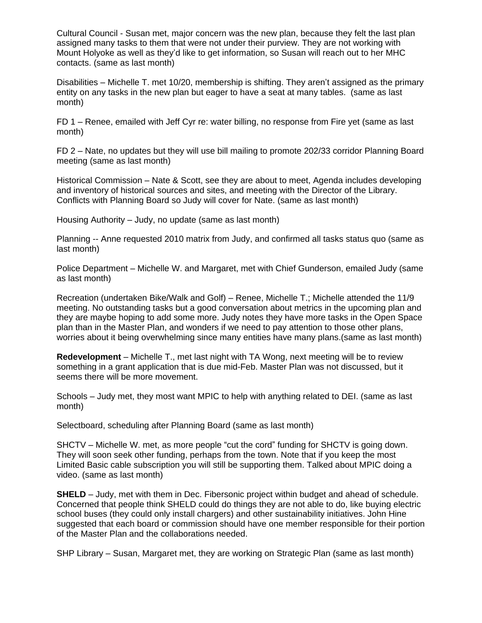Cultural Council - Susan met, major concern was the new plan, because they felt the last plan assigned many tasks to them that were not under their purview. They are not working with Mount Holyoke as well as they'd like to get information, so Susan will reach out to her MHC contacts. (same as last month)

Disabilities – Michelle T. met 10/20, membership is shifting. They aren't assigned as the primary entity on any tasks in the new plan but eager to have a seat at many tables. (same as last month)

FD 1 – Renee, emailed with Jeff Cyr re: water billing, no response from Fire yet (same as last month)

FD 2 – Nate, no updates but they will use bill mailing to promote 202/33 corridor Planning Board meeting (same as last month)

Historical Commission – Nate & Scott, see they are about to meet, Agenda includes developing and inventory of historical sources and sites, and meeting with the Director of the Library. Conflicts with Planning Board so Judy will cover for Nate. (same as last month)

Housing Authority – Judy, no update (same as last month)

Planning -- Anne requested 2010 matrix from Judy, and confirmed all tasks status quo (same as last month)

Police Department – Michelle W. and Margaret, met with Chief Gunderson, emailed Judy (same as last month)

Recreation (undertaken Bike/Walk and Golf) – Renee, Michelle T.; Michelle attended the 11/9 meeting. No outstanding tasks but a good conversation about metrics in the upcoming plan and they are maybe hoping to add some more. Judy notes they have more tasks in the Open Space plan than in the Master Plan, and wonders if we need to pay attention to those other plans, worries about it being overwhelming since many entities have many plans.(same as last month)

**Redevelopment** – Michelle T., met last night with TA Wong, next meeting will be to review something in a grant application that is due mid-Feb. Master Plan was not discussed, but it seems there will be more movement.

Schools – Judy met, they most want MPIC to help with anything related to DEI. (same as last month)

Selectboard, scheduling after Planning Board (same as last month)

SHCTV – Michelle W. met, as more people "cut the cord" funding for SHCTV is going down. They will soon seek other funding, perhaps from the town. Note that if you keep the most Limited Basic cable subscription you will still be supporting them. Talked about MPIC doing a video. (same as last month)

**SHELD** – Judy, met with them in Dec. Fibersonic project within budget and ahead of schedule. Concerned that people think SHELD could do things they are not able to do, like buying electric school buses (they could only install chargers) and other sustainability initiatives. John Hine suggested that each board or commission should have one member responsible for their portion of the Master Plan and the collaborations needed.

SHP Library – Susan, Margaret met, they are working on Strategic Plan (same as last month)